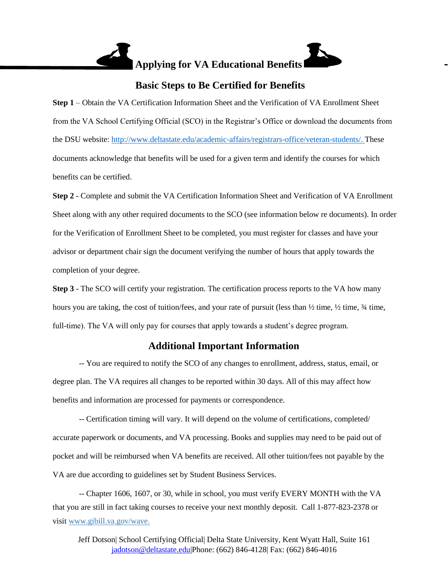

## **Basic Steps to Be Certified for Benefits**

**Step 1** – Obtain the VA Certification Information Sheet and the Verification of VA Enrollment Sheet from the VA School Certifying Official (SCO) in the Registrar's Office or download the documents from the DSU website: [http://www.deltastate.edu/academic-affairs/registrars-office/veteran-students/.](http://www.deltastate.edu/academic-affairs/registrars-office/veteran-students/) These documents acknowledge that benefits will be used for a given term and identify the courses for which benefits can be certified.

**Step 2 -** Complete and submit the VA Certification Information Sheet and Verification of VA Enrollment Sheet along with any other required documents to the SCO (see information below re documents). In order for the Verification of Enrollment Sheet to be completed, you must register for classes and have your advisor or department chair sign the document verifying the number of hours that apply towards the completion of your degree.

**Step 3** - The SCO will certify your registration. The certification process reports to the VA how many hours you are taking, the cost of tuition/fees, and your rate of pursuit (less than  $\frac{1}{2}$  time,  $\frac{1}{2}$  time,  $\frac{3}{4}$  time, full-time). The VA will only pay for courses that apply towards a student's degree program.

# **Additional Important Information**

-- You are required to notify the SCO of any changes to enrollment, address, status, email, or degree plan. The VA requires all changes to be reported within 30 days. All of this may affect how benefits and information are processed for payments or correspondence.

-- Certification timing will vary. It will depend on the volume of certifications, completed/ accurate paperwork or documents, and VA processing. Books and supplies may need to be paid out of pocket and will be reimbursed when VA benefits are received. All other tuition/fees not payable by the VA are due according to guidelines set by Student Business Services.

-- Chapter 1606, 1607, or 30, while in school, you must verify EVERY MONTH with the VA that you are still in fact taking courses to receive your next monthly deposit. Call 1-877-823-2378 or visit [www.gibill.va.gov/wave](http://www.gibill.va.gov/wave).

[Jeff Dotson|](http://www.gibill.va.gov/wave) School Certifying Official| Delta State University, Kent Wyatt Hall, Suite 161 [jadotson@deltastate.edu|](mailto:jadotson@deltastate.edu)Phone: (662) 846-4128| Fax: (662) 846-4016